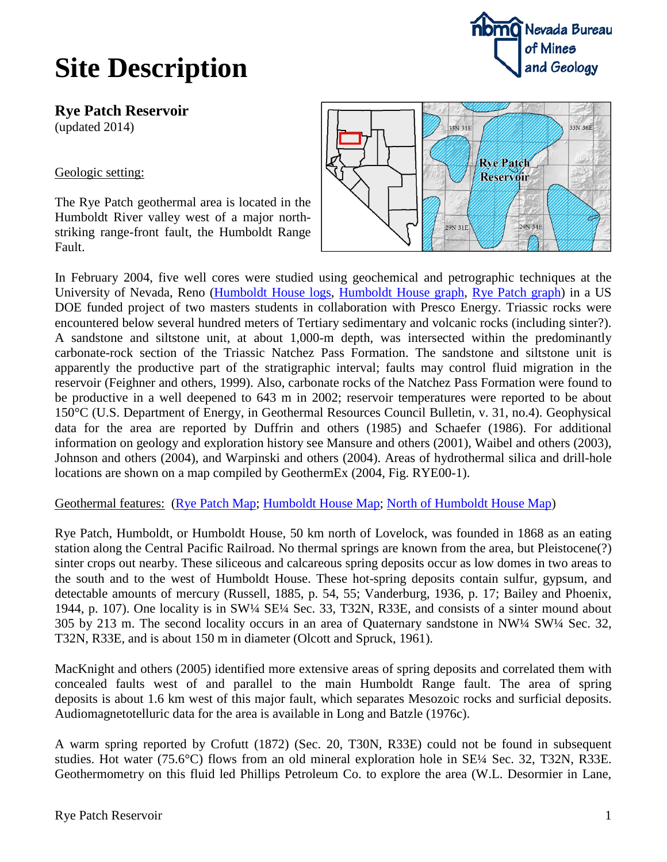

**Rye Patch Reservoir** (updated 2014)

### Geologic setting:

The Rye Patch geothermal area is located in the Humboldt River valley west of a major northstriking range-front fault, the Humboldt Range Fault.



In February 2004, five well cores were studied using geochemical and petrographic techniques at the University of Nevada, Reno [\(Humboldt House logs,](http://www.nbmg.unr.edu/geothermal/figures/ryepatch3.pdf) [Humboldt House graph,](http://www.nbmg.unr.edu/geothermal/figures/humboldthouse.pdf) [Rye Patch graph\)](http://www.nbmg.unr.edu/geothermal/figures/ryepatch.pdf) in a US DOE funded project of two masters students in collaboration with Presco Energy. Triassic rocks were encountered below several hundred meters of Tertiary sedimentary and volcanic rocks (including sinter?). A sandstone and siltstone unit, at about 1,000-m depth, was intersected within the predominantly carbonate-rock section of the Triassic Natchez Pass Formation. The sandstone and siltstone unit is apparently the productive part of the stratigraphic interval; faults may control fluid migration in the reservoir (Feighner and others, 1999). Also, carbonate rocks of the Natchez Pass Formation were found to be productive in a well deepened to 643 m in 2002; reservoir temperatures were reported to be about 150°C (U.S. Department of Energy, in Geothermal Resources Council Bulletin, v. 31, no.4). Geophysical data for the area are reported by Duffrin and others (1985) and Schaefer (1986). For additional information on geology and exploration history see Mansure and others (2001), Waibel and others (2003), Johnson and others (2004), and Warpinski and others (2004). Areas of hydrothermal silica and drill-hole locations are shown on a map compiled by GeothermEx (2004, Fig. RYE00-1).

#### Geothermal features: [\(Rye Patch Map;](http://www.nbmg.unr.edu/geothermal/detailedmaps/Rye%20Patch.pdf) [Humboldt House Map;](http://www.nbmg.unr.edu/geothermal/detailedmaps/Humboldt%20House.pdf) [North of Humboldt House Map\)](http://www.nbmg.unr.edu/geothermal/detailedmaps/North%20of%20Humboldt%20House.pdf)

Rye Patch, Humboldt, or Humboldt House, 50 km north of Lovelock, was founded in 1868 as an eating station along the Central Pacific Railroad. No thermal springs are known from the area, but Pleistocene(?) sinter crops out nearby. These siliceous and calcareous spring deposits occur as low domes in two areas to the south and to the west of Humboldt House. These hot-spring deposits contain sulfur, gypsum, and detectable amounts of mercury (Russell, 1885, p. 54, 55; Vanderburg, 1936, p. 17; Bailey and Phoenix, 1944, p. 107). One locality is in SW¼ SE¼ Sec. 33, T32N, R33E, and consists of a sinter mound about 305 by 213 m. The second locality occurs in an area of Quaternary sandstone in NW¼ SW¼ Sec. 32, T32N, R33E, and is about 150 m in diameter (Olcott and Spruck, 1961).

MacKnight and others (2005) identified more extensive areas of spring deposits and correlated them with concealed faults west of and parallel to the main Humboldt Range fault. The area of spring deposits is about 1.6 km west of this major fault, which separates Mesozoic rocks and surficial deposits. Audiomagnetotelluric data for the area is available in Long and Batzle (1976c).

A warm spring reported by Crofutt (1872) (Sec. 20, T30N, R33E) could not be found in subsequent studies. Hot water (75.6°C) flows from an old mineral exploration hole in SE¼ Sec. 32, T32N, R33E. Geothermometry on this fluid led Phillips Petroleum Co. to explore the area (W.L. Desormier in Lane,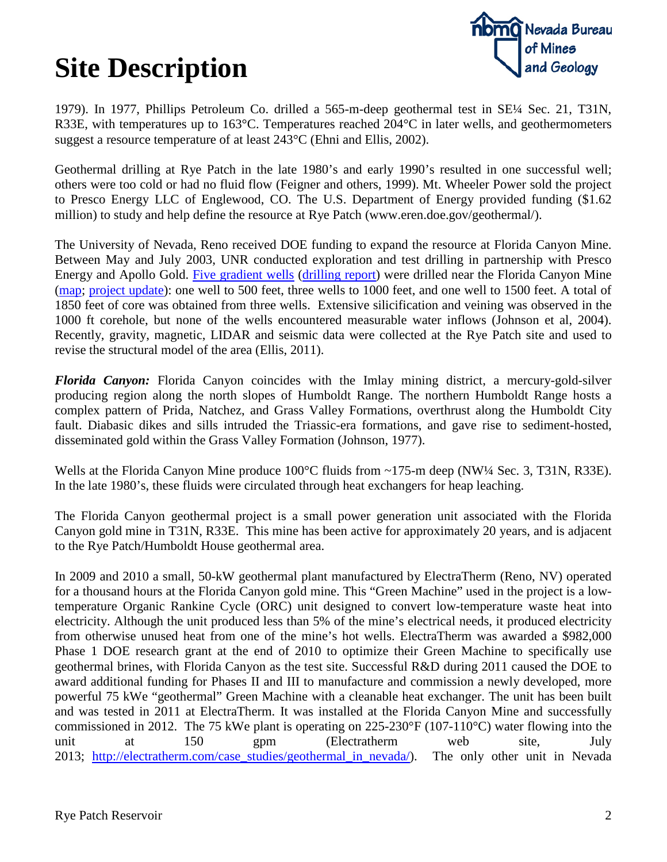

1979). In 1977, Phillips Petroleum Co. drilled a 565-m-deep geothermal test in SE¼ Sec. 21, T31N, R33E, with temperatures up to 163°C. Temperatures reached 204°C in later wells, and geothermometers suggest a resource temperature of at least 243°C (Ehni and Ellis, 2002).

Geothermal drilling at Rye Patch in the late 1980's and early 1990's resulted in one successful well; others were too cold or had no fluid flow (Feigner and others, 1999). Mt. Wheeler Power sold the project to Presco Energy LLC of Englewood, CO. The U.S. Department of Energy provided funding (\$1.62 million) to study and help define the resource at Rye Patch (www.eren.doe.gov/geothermal/).

The University of Nevada, Reno received DOE funding to expand the resource at Florida Canyon Mine. Between May and July 2003, UNR conducted exploration and test drilling in partnership with Presco Energy and Apollo Gold. [Five gradient wells](http://www.nbmg.unr.edu/geothermal/ryepatchwells.htm) [\(drilling report\)](http://www.nbmg.unr.edu/geothermal/ryepatchdrilling.pdf) were drilled near the Florida Canyon Mine [\(map;](http://www.nbmg.unr.edu/geothermal/figures/ryepatch5.pdf) [project update\)](http://www.nbmg.unr.edu/geothermal/ryepatchupdate.htm): one well to 500 feet, three wells to 1000 feet, and one well to 1500 feet. A total of 1850 feet of core was obtained from three wells. Extensive silicification and veining was observed in the 1000 ft corehole, but none of the wells encountered measurable water inflows (Johnson et al, 2004). Recently, gravity, magnetic, LIDAR and seismic data were collected at the Rye Patch site and used to revise the structural model of the area (Ellis, 2011).

*Florida Canyon:* Florida Canyon coincides with the Imlay mining district, a mercury-gold-silver producing region along the north slopes of Humboldt Range. The northern Humboldt Range hosts a complex pattern of Prida, Natchez, and Grass Valley Formations, overthrust along the Humboldt City fault. Diabasic dikes and sills intruded the Triassic-era formations, and gave rise to sediment-hosted, disseminated gold within the Grass Valley Formation (Johnson, 1977).

Wells at the Florida Canyon Mine produce 100°C fluids from ~175-m deep (NW¼ Sec. 3, T31N, R33E). In the late 1980's, these fluids were circulated through heat exchangers for heap leaching.

The Florida Canyon geothermal project is a small power generation unit associated with the Florida Canyon gold mine in T31N, R33E. This mine has been active for approximately 20 years, and is adjacent to the Rye Patch/Humboldt House geothermal area.

In 2009 and 2010 a small, 50-kW geothermal plant manufactured by ElectraTherm (Reno, NV) operated for a thousand hours at the Florida Canyon gold mine. This "Green Machine" used in the project is a lowtemperature Organic Rankine Cycle (ORC) unit designed to convert low-temperature waste heat into electricity. Although the unit produced less than 5% of the mine's electrical needs, it produced electricity from otherwise unused heat from one of the mine's hot wells. ElectraTherm was awarded a \$982,000 Phase 1 DOE research grant at the end of 2010 to optimize their Green Machine to specifically use geothermal brines, with Florida Canyon as the test site. Successful R&D during 2011 caused the DOE to award additional funding for Phases II and III to manufacture and commission a newly developed, more powerful 75 kWe "geothermal" Green Machine with a cleanable heat exchanger. The unit has been built and was tested in 2011 at ElectraTherm. It was installed at the Florida Canyon Mine and successfully commissioned in 2012. The 75 kWe plant is operating on 225-230°F (107-110°C) water flowing into the unit at 150 gpm (Electratherm web site, July 2013; [http://electratherm.com/case\\_studies/geothermal\\_in\\_nevada/\)](http://electratherm.com/case_studies/geothermal_in_nevada/). The only other unit in Nevada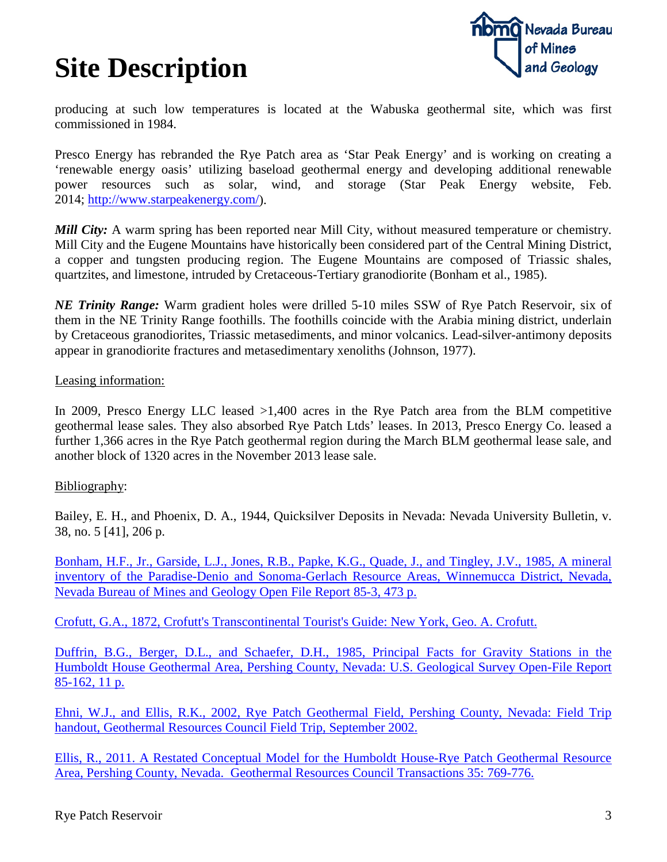

producing at such low temperatures is located at the Wabuska geothermal site, which was first commissioned in 1984.

Presco Energy has rebranded the Rye Patch area as 'Star Peak Energy' and is working on creating a 'renewable energy oasis' utilizing baseload geothermal energy and developing additional renewable power resources such as solar, wind, and storage (Star Peak Energy website, Feb. 2014; [http://www.starpeakenergy.com/\)](http://www.starpeakenergy.com/).

*Mill City:* A warm spring has been reported near Mill City, without measured temperature or chemistry. Mill City and the Eugene Mountains have historically been considered part of the Central Mining District, a copper and tungsten producing region. The Eugene Mountains are composed of Triassic shales, quartzites, and limestone, intruded by Cretaceous-Tertiary granodiorite (Bonham et al., 1985).

*NE Trinity Range:* Warm gradient holes were drilled 5-10 miles SSW of Rye Patch Reservoir, six of them in the NE Trinity Range foothills. The foothills coincide with the Arabia mining district, underlain by Cretaceous granodiorites, Triassic metasediments, and minor volcanics. Lead-silver-antimony deposits appear in granodiorite fractures and metasedimentary xenoliths (Johnson, 1977).

#### Leasing information:

In 2009, Presco Energy LLC leased >1,400 acres in the Rye Patch area from the BLM competitive geothermal lease sales. They also absorbed Rye Patch Ltds' leases. In 2013, Presco Energy Co. leased a further 1,366 acres in the Rye Patch geothermal region during the March BLM geothermal lease sale, and another block of 1320 acres in the November 2013 lease sale.

#### Bibliography:

Bailey, E. H., and Phoenix, D. A., 1944, Quicksilver Deposits in Nevada: Nevada University Bulletin, v. 38, no. 5 [41], 206 p.

[Bonham, H.F., Jr., Garside, L.J., Jones, R.B., Papke, K.G., Quade, J., and Tingley, J.V., 1985, A mineral](http://www.nbmg.unr.edu/dox/of8503.pdf)  [inventory of the Paradise-Denio and Sonoma-Gerlach Resource Areas, Winnemucca District, Nevada,](http://www.nbmg.unr.edu/dox/of8503.pdf)  [Nevada Bureau of Mines and Geology Open File Report 85-3, 473 p.](http://www.nbmg.unr.edu/dox/of8503.pdf)

[Crofutt, G.A., 1872, Crofutt's Transcontinental Tourist's Guide: New York, Geo. A. Crofutt.](ftp://ftp.nbmg.unr.edu/pub/Geothermal/11_Documents/Crofutt_TouristsGuide_1872.pdf)

[Duffrin, B.G., Berger, D.L., and Schaefer, D.H., 1985, Principal Facts for Gravity Stations in the](http://pubs.usgs.gov/of/1985/0162/report.pdf)  [Humboldt House Geothermal Area, Pershing County, Nevada: U.S. Geological Survey Open-File Report](http://pubs.usgs.gov/of/1985/0162/report.pdf)  [85-162, 11 p.](http://pubs.usgs.gov/of/1985/0162/report.pdf)

[Ehni, W.J., and Ellis, R.K., 2002, Rye Patch Geothermal Field, Pershing County, Nevada: Field Trip](ftp://ftp.nbmg.unr.edu/pub/Geothermal/11_Documents/Ehni-2002-RyePatchFieldTrip.pdf)  [handout, Geothermal Resources Council Field Trip, September 2002.](ftp://ftp.nbmg.unr.edu/pub/Geothermal/11_Documents/Ehni-2002-RyePatchFieldTrip.pdf)

[Ellis, R., 2011. A Restated Conceptual Model for the Humboldt House-Rye Patch Geothermal Resource](http://pubs.geothermal-library.org/lib/grc/1029328.pdf)  [Area, Pershing County, Nevada. Geothermal Resources Council Transactions 35: 769-776.](http://pubs.geothermal-library.org/lib/grc/1029328.pdf)